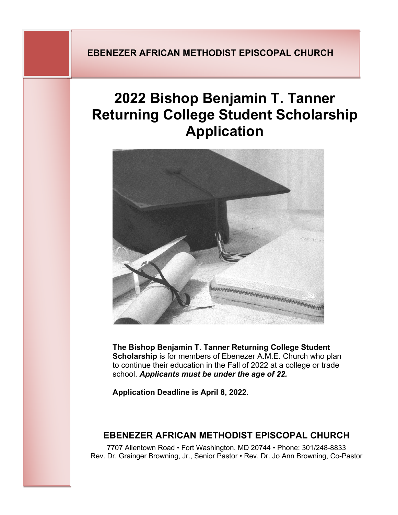## **EBENEZER AFRICAN METHODIST EPISCOPAL CHURCH**

# **2022 Bishop Benjamin T. Tanner Returning College Student Scholarship Application**



**The Bishop Benjamin T. Tanner Returning College Student Scholarship** is for members of Ebenezer A.M.E. Church who plan to continue their education in the Fall of 2022 at a college or trade school. *Applicants must be under the age of 22.* 

**Application Deadline is April 8, 2022.**

### **EBENEZER AFRICAN METHODIST EPISCOPAL CHURCH**

7707 Allentown Road • Fort Washington, MD 20744 • Phone: 301/248-8833 Rev. Dr. Grainger Browning, Jr., Senior Pastor • Rev. Dr. Jo Ann Browning, Co-Pastor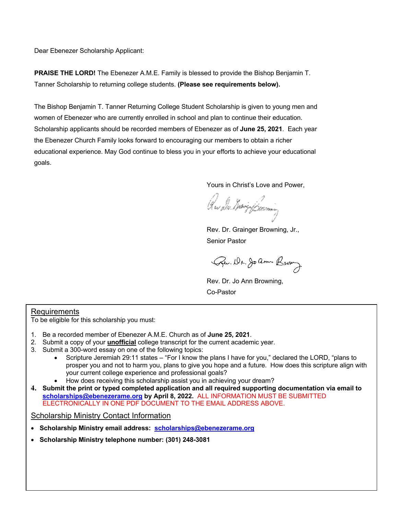Dear Ebenezer Scholarship Applicant:

**PRAISE THE LORD!** The Ebenezer A.M.E. Family is blessed to provide the Bishop Benjamin T. Tanner Scholarship to returning college students. **(Please see requirements below).**

The Bishop Benjamin T. Tanner Returning College Student Scholarship is given to young men and women of Ebenezer who are currently enrolled in school and plan to continue their education. Scholarship applicants should be recorded members of Ebenezer as of **June 25, 2021**. Each year the Ebenezer Church Family looks forward to encouraging our members to obtain a richer educational experience. May God continue to bless you in your efforts to achieve your educational goals.

Yours in Christ's Love and Power,

Que *du diving forming* 

Rev. Dr. Grainger Browning, Jr., Senior Pastor

Pu. Dr. Joann Brown

Rev. Dr. Jo Ann Browning, Co-Pastor

#### **Requirements**

To be eligible for this scholarship you must:

- 1. Be a recorded member of Ebenezer A.M.E. Church as of **June 25, 2021**.
- 2. Submit a copy of your **unofficial** college transcript for the current academic year.
- 3. Submit a 300-word essay on one of the following topics:
	- Scripture Jeremiah 29:11 states "For I know the plans I have for you," declared the LORD, "plans to prosper you and not to harm you, plans to give you hope and a future. How does this scripture align with your current college experience and professional goals?
	- How does receiving this scholarship assist you in achieving your dream?
- **4. Submit the print or typed completed application and all required supporting documentation via email to scholarships@ebenezerame.org by April 8, 2022.** ALL INFORMATION MUST BE SUBMITTED ELECTRONICALLY IN ONE PDF DOCUMENT TO THE EMAIL ADDRESS ABOVE.

Scholarship Ministry Contact Information

- **Scholarship Ministry email address: scholarships@ebenezerame.org**
- **Scholarship Ministry telephone number: (301) 248-3081**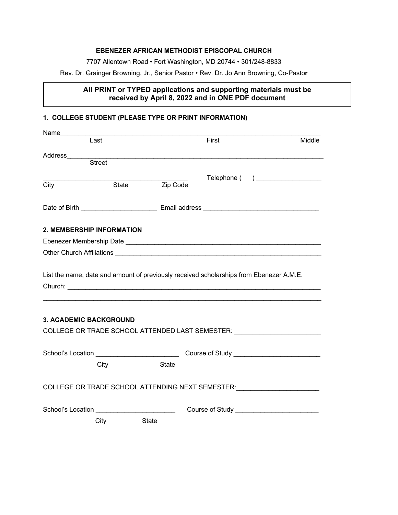#### **EBENEZER AFRICAN METHODIST EPISCOPAL CHURCH**

7707 Allentown Road • Fort Washington, MD 20744 • 301/248-8833

Rev. Dr. Grainger Browning, Jr., Senior Pastor • Rev. Dr. Jo Ann Browning, Co-Pasto**r**

#### **All PRINT or TYPED applications and supporting materials must be received by April 8, 2022 and in ONE PDF document**

#### **1. COLLEGE STUDENT (PLEASE TYPE OR PRINT INFORMATION)**

| Name________                                |               |          |                                                                                         |                                                                                                                                                                                                                                      |
|---------------------------------------------|---------------|----------|-----------------------------------------------------------------------------------------|--------------------------------------------------------------------------------------------------------------------------------------------------------------------------------------------------------------------------------------|
|                                             | Last          |          | First                                                                                   | Middle                                                                                                                                                                                                                               |
| Address_______                              |               |          |                                                                                         |                                                                                                                                                                                                                                      |
|                                             | <b>Street</b> |          |                                                                                         |                                                                                                                                                                                                                                      |
|                                             |               |          |                                                                                         | Telephone ( ) ___________________                                                                                                                                                                                                    |
| City                                        | State         | Zip Code |                                                                                         |                                                                                                                                                                                                                                      |
|                                             |               |          |                                                                                         |                                                                                                                                                                                                                                      |
| 2. MEMBERSHIP INFORMATION                   |               |          |                                                                                         |                                                                                                                                                                                                                                      |
|                                             |               |          |                                                                                         |                                                                                                                                                                                                                                      |
|                                             |               |          |                                                                                         |                                                                                                                                                                                                                                      |
|                                             |               |          | List the name, date and amount of previously received scholarships from Ebenezer A.M.E. | Church: <u>Alexander Alexander Alexander Alexander Alexander Alexander Alexander Alexander Alexander Alexander Alexander Alexander Alexander Alexander Alexander Alexander Alexander Alexander Alexander Alexander Alexander Ale</u> |
| <b>3. ACADEMIC BACKGROUND</b>               |               |          |                                                                                         |                                                                                                                                                                                                                                      |
|                                             |               |          |                                                                                         | COLLEGE OR TRADE SCHOOL ATTENDED LAST SEMESTER:                                                                                                                                                                                      |
|                                             |               |          |                                                                                         | School's Location __________________________________Course of Study _______________________________                                                                                                                                  |
|                                             | City          | State    |                                                                                         |                                                                                                                                                                                                                                      |
|                                             |               |          |                                                                                         | COLLEGE OR TRADE SCHOOL ATTENDING NEXT SEMESTER: Network and the set of the set of the set of the set of the set of the set of the set of the set of the set of the set of the set of the set of the set of the set of the set       |
| School's Location _________________________ |               |          |                                                                                         |                                                                                                                                                                                                                                      |
|                                             | City          | State    |                                                                                         |                                                                                                                                                                                                                                      |